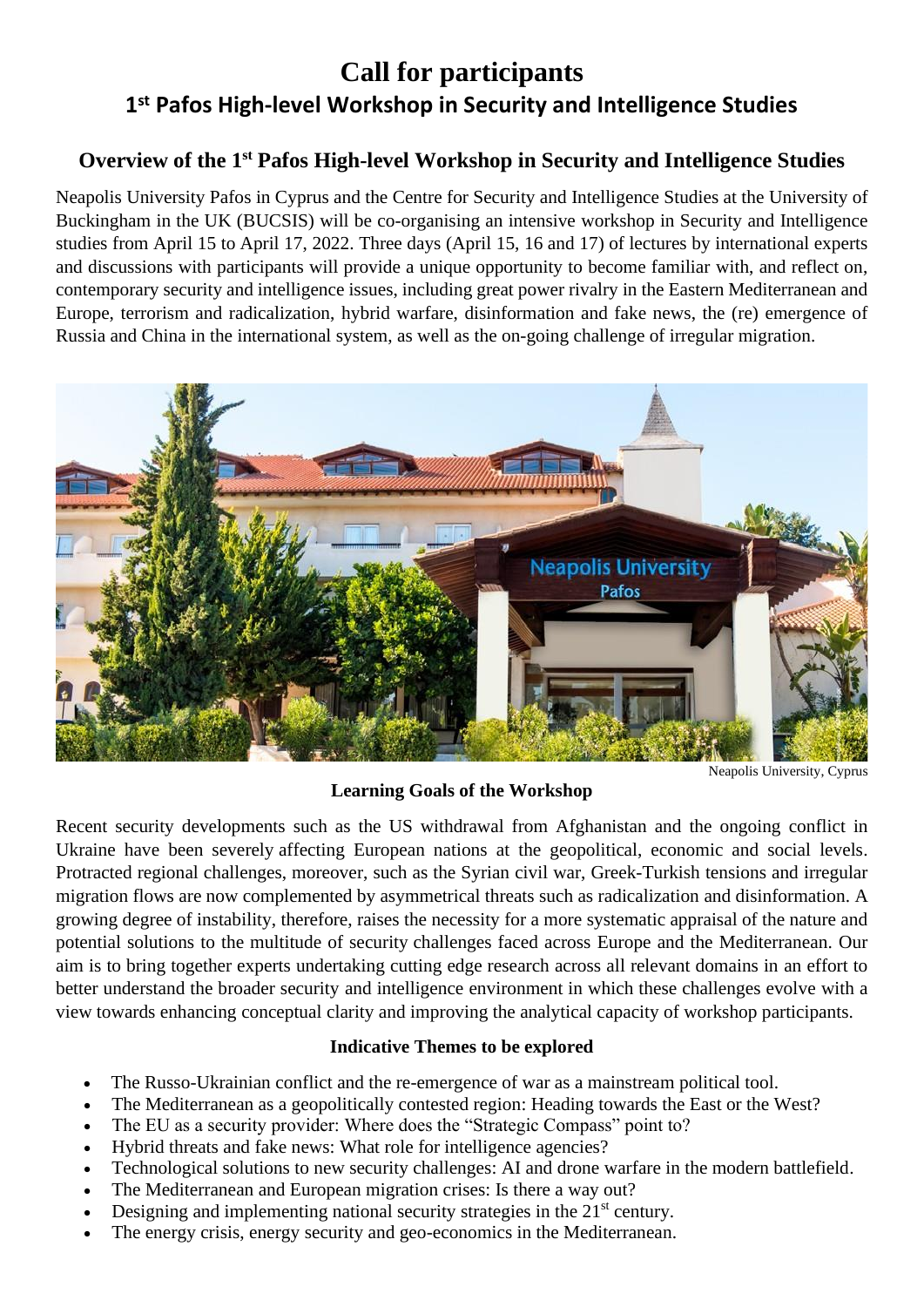# **Call for participants 1 st Pafos High-level Workshop in Security and Intelligence Studies**

## **Overview of the 1 st Pafos High-level Workshop in Security and Intelligence Studies**

Neapolis University Pafos in Cyprus and the Centre for Security and Intelligence Studies at the University of Buckingham in the UK (BUCSIS) will be co-organising an intensive workshop in Security and Intelligence studies from April 15 to April 17, 2022. Three days (April 15, 16 and 17) of lectures by international experts and discussions with participants will provide a unique opportunity to become familiar with, and reflect on, contemporary security and intelligence issues, including great power rivalry in the Eastern Mediterranean and Europe, terrorism and radicalization, hybrid warfare, disinformation and fake news, the (re) emergence of Russia and China in the international system, as well as the on-going challenge of irregular migration.



Neapolis University, Cyprus

### **Learning Goals of the Workshop**

Recent security developments such as the US withdrawal from Afghanistan and the ongoing conflict in Ukraine have been severely affecting European nations at the geopolitical, economic and social levels. Protracted regional challenges, moreover, such as the Syrian civil war, Greek-Turkish tensions and irregular migration flows are now complemented by asymmetrical threats such as radicalization and disinformation. A growing degree of instability, therefore, raises the necessity for a more systematic appraisal of the nature and potential solutions to the multitude of security challenges faced across Europe and the Mediterranean. Our aim is to bring together experts undertaking cutting edge research across all relevant domains in an effort to better understand the broader security and intelligence environment in which these challenges evolve with a view towards enhancing conceptual clarity and improving the analytical capacity of workshop participants.

#### **Indicative Themes to be explored**

- The Russo-Ukrainian conflict and the re-emergence of war as a mainstream political tool.
- The Mediterranean as a geopolitically contested region: Heading towards the East or the West?
- The EU as a security provider: Where does the "Strategic Compass" point to?
- Hybrid threats and fake news: What role for intelligence agencies?
- Technological solutions to new security challenges: AI and drone warfare in the modern battlefield.
- The Mediterranean and European migration crises: Is there a way out?
- Designing and implementing national security strategies in the 21<sup>st</sup> century.
- The energy crisis, energy security and geo-economics in the Mediterranean.